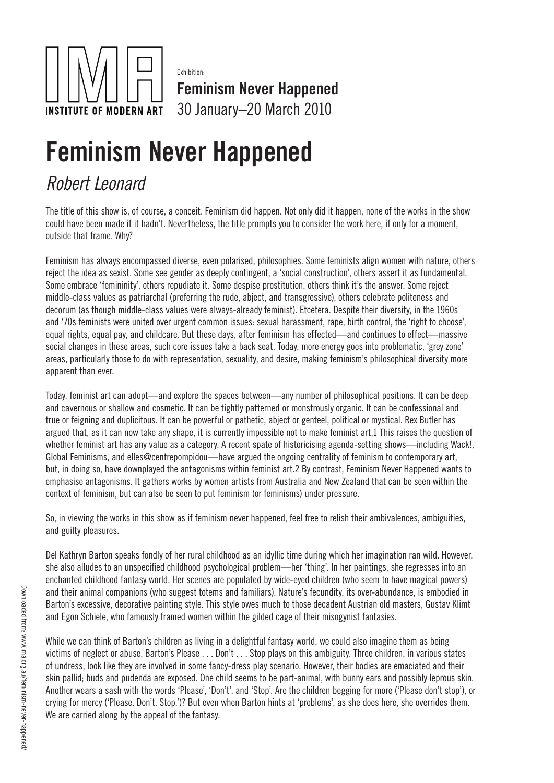

Exhibition:

Feminism Never Happened 30 January–20 March 2010

## Feminism Never Happened

## *Robert Leonard*

The title of this show is, of course, a conceit. Feminism did happen. Not only did it happen, none of the works in the show could have been made if it hadn't. Nevertheless, the title prompts you to consider the work here, if only for a moment, outside that frame. Why?

Feminism has always encompassed diverse, even polarised, philosophies. Some feminists align women with nature, others reject the idea as sexist. Some see gender as deeply contingent, a 'social construction', others assert it as fundamental. Some embrace 'femininity', others repudiate it. Some despise prostitution, others think it's the answer. Some reject middle-class values as patriarchal (preferring the rude, abject, and transgressive), others celebrate politeness and decorum (as though middle-class values were always-already feminist). Etcetera. Despite their diversity, in the 1960s and '70s feminists were united over urgent common issues: sexual harassment, rape, birth control, the 'right to choose', equal rights, equal pay, and childcare. But these days, after feminism has effected—and continues to effect—massive social changes in these areas, such core issues take a back seat. Today, more energy goes into problematic, 'grey zone' areas, particularly those to do with representation, sexuality, and desire, making feminism's philosophical diversity more apparent than ever.

Today, feminist art can adopt—and explore the spaces between—any number of philosophical positions. It can be deep and cavernous or shallow and cosmetic. It can be tightly patterned or monstrously organic. It can be confessional and true or feigning and duplicitous. It can be powerful or pathetic, abject or genteel, political or mystical. Rex Butler has argued that, as it can now take any shape, it is currently impossible not to make feminist art.1 This raises the question of whether feminist art has any value as a category. A recent spate of historicising agenda-setting shows—including Wack!, Global Feminisms, and elles@centrepompidou—have argued the ongoing centrality of feminism to contemporary art, but, in doing so, have downplayed the antagonisms within feminist art.2 By contrast, Feminism Never Happened wants to emphasise antagonisms. It gathers works by women artists from Australia and New Zealand that can be seen within the context of feminism, but can also be seen to put feminism (or feminisms) under pressure.

So, in viewing the works in this show as if feminism never happened, feel free to relish their ambivalences, ambiguities, and guilty pleasures.

Del Kathryn Barton speaks fondly of her rural childhood as an idyllic time during which her imagination ran wild. However, she also alludes to an unspecified childhood psychological problem—her 'thing'. In her paintings, she regresses into an enchanted childhood fantasy world. Her scenes are populated by wide-eyed children (who seem to have magical powers) and their animal companions (who suggest totems and familiars). Nature's fecundity, its over-abundance, is embodied in Barton's excessive, decorative painting style. This style owes much to those decadent Austrian old masters, Gustav Klimt and Egon Schiele, who famously framed women within the gilded cage of their misogynist fantasies.

While we can think of Barton's children as living in a delightful fantasy world, we could also imagine them as being victims of neglect or abuse. Barton's Please . . . Don't . . . Stop plays on this ambiguity. Three children, in various states of undress, look like they are involved in some fancy-dress play scenario. However, their bodies are emaciated and their skin pallid; buds and pudenda are exposed. One child seems to be part-animal, with bunny ears and possibly leprous skin. Another wears a sash with the words 'Please', 'Don't', and 'Stop'. Are the children begging for more ('Please don't stop'), or crying for mercy ('Please. Don't. Stop.')? But even when Barton hints at 'problems', as she does here, she overrides them. We are carried along by the appeal of the fantasy.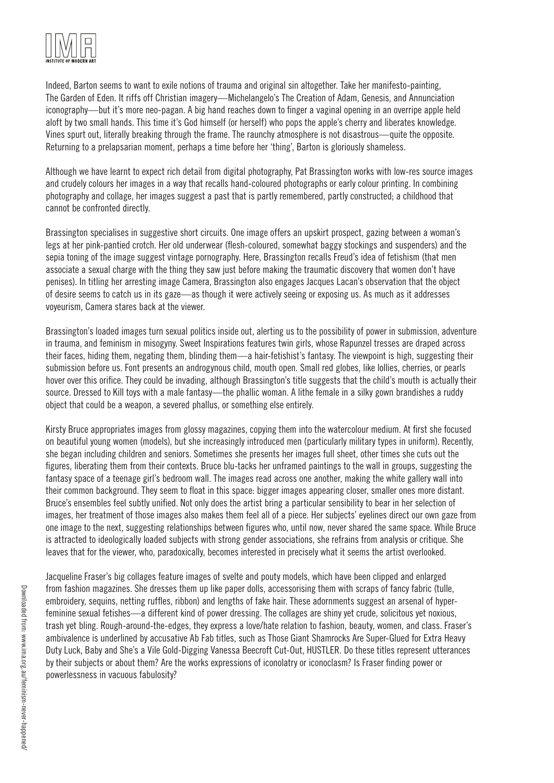

Indeed, Barton seems to want to exile notions of trauma and original sin altogether. Take her manifesto-painting, The Garden of Eden. It riffs off Christian imagery—Michelangelo's The Creation of Adam, Genesis, and Annunciation iconography—but it's more neo-pagan. A big hand reaches down to finger a vaginal opening in an overripe apple held aloft by two small hands. This time it's God himself (or herself) who pops the apple's cherry and liberates knowledge. Vines spurt out, literally breaking through the frame. The raunchy atmosphere is not disastrous—quite the opposite. Returning to a prelapsarian moment, perhaps a time before her 'thing', Barton is gloriously shameless.

Although we have learnt to expect rich detail from digital photography, Pat Brassington works with low-res source images and crudely colours her images in a way that recalls hand-coloured photographs or early colour printing. In combining photography and collage, her images suggest a past that is partly remembered, partly constructed; a childhood that cannot be confronted directly.

Brassington specialises in suggestive short circuits. One image offers an upskirt prospect, gazing between a woman's legs at her pink-pantied crotch. Her old underwear (flesh-coloured, somewhat baggy stockings and suspenders) and the sepia toning of the image suggest vintage pornography. Here, Brassington recalls Freud's idea of fetishism (that men associate a sexual charge with the thing they saw just before making the traumatic discovery that women don't have penises). In titling her arresting image Camera, Brassington also engages Jacques Lacan's observation that the object of desire seems to catch us in its gaze—as though it were actively seeing or exposing us. As much as it addresses voyeurism, Camera stares back at the viewer.

Brassington's loaded images turn sexual politics inside out, alerting us to the possibility of power in submission, adventure in trauma, and feminism in misogyny. Sweet Inspirations features twin girls, whose Rapunzel tresses are draped across their faces, hiding them, negating them, blinding them—a hair-fetishist's fantasy. The viewpoint is high, suggesting their submission before us. Font presents an androgynous child, mouth open. Small red globes, like lollies, cherries, or pearls hover over this orifice. They could be invading, although Brassington's title suggests that the child's mouth is actually their source. Dressed to Kill toys with a male fantasy—the phallic woman. A lithe female in a silky gown brandishes a ruddy object that could be a weapon, a severed phallus, or something else entirely.

Kirsty Bruce appropriates images from glossy magazines, copying them into the watercolour medium. At first she focused on beautiful young women (models), but she increasingly introduced men (particularly military types in uniform). Recently, she began including children and seniors. Sometimes she presents her images full sheet, other times she cuts out the figures, liberating them from their contexts. Bruce blu-tacks her unframed paintings to the wall in groups, suggesting the fantasy space of a teenage girl's bedroom wall. The images read across one another, making the white gallery wall into their common background. They seem to float in this space: bigger images appearing closer, smaller ones more distant. Bruce's ensembles feel subtly unified. Not only does the artist bring a particular sensibility to bear in her selection of images, her treatment of those images also makes them feel all of a piece. Her subjects' eyelines direct our own gaze from one image to the next, suggesting relationships between figures who, until now, never shared the same space. While Bruce is attracted to ideologically loaded subjects with strong gender associations, she refrains from analysis or critique. She leaves that for the viewer, who, paradoxically, becomes interested in precisely what it seems the artist overlooked.

Jacqueline Fraser's big collages feature images of svelte and pouty models, which have been clipped and enlarged from fashion magazines. She dresses them up like paper dolls, accessorising them with scraps of fancy fabric (tulle, embroidery, sequins, netting ruffles, ribbon) and lengths of fake hair. These adornments suggest an arsenal of hyperfeminine sexual fetishes—a different kind of power dressing. The collages are shiny yet crude, solicitous yet noxious, trash yet bling. Rough-around-the-edges, they express a love/hate relation to fashion, beauty, women, and class. Fraser's ambivalence is underlined by accusative Ab Fab titles, such as Those Giant Shamrocks Are Super-Glued for Extra Heavy Duty Luck, Baby and She's a Vile Gold-Digging Vanessa Beecroft Cut-Out, HUSTLER. Do these titles represent utterances by their subjects or about them? Are the works expressions of iconolatry or iconoclasm? Is Fraser finding power or powerlessness in vacuous fabulosity?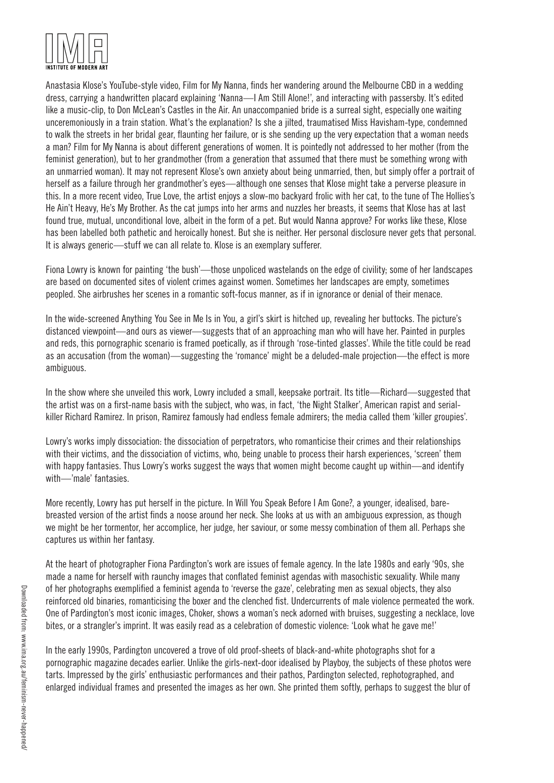

Anastasia Klose's YouTube-style video, Film for My Nanna, finds her wandering around the Melbourne CBD in a wedding dress, carrying a handwritten placard explaining 'Nanna—I Am Still Alone!', and interacting with passersby. It's edited like a music-clip, to Don McLean's Castles in the Air. An unaccompanied bride is a surreal sight, especially one waiting unceremoniously in a train station. What's the explanation? Is she a jilted, traumatised Miss Havisham-type, condemned to walk the streets in her bridal gear, flaunting her failure, or is she sending up the very expectation that a woman needs a man? Film for My Nanna is about different generations of women. It is pointedly not addressed to her mother (from the feminist generation), but to her grandmother (from a generation that assumed that there must be something wrong with an unmarried woman). It may not represent Klose's own anxiety about being unmarried, then, but simply offer a portrait of herself as a failure through her grandmother's eyes—although one senses that Klose might take a perverse pleasure in this. In a more recent video, True Love, the artist enjoys a slow-mo backyard frolic with her cat, to the tune of The Hollies's He Ain't Heavy, He's My Brother. As the cat jumps into her arms and nuzzles her breasts, it seems that Klose has at last found true, mutual, unconditional love, albeit in the form of a pet. But would Nanna approve? For works like these, Klose has been labelled both pathetic and heroically honest. But she is neither. Her personal disclosure never gets that personal. It is always generic—stuff we can all relate to. Klose is an exemplary sufferer.

Fiona Lowry is known for painting 'the bush'—those unpoliced wastelands on the edge of civility; some of her landscapes are based on documented sites of violent crimes against women. Sometimes her landscapes are empty, sometimes peopled. She airbrushes her scenes in a romantic soft-focus manner, as if in ignorance or denial of their menace.

In the wide-screened Anything You See in Me Is in You, a girl's skirt is hitched up, revealing her buttocks. The picture's distanced viewpoint—and ours as viewer—suggests that of an approaching man who will have her. Painted in purples and reds, this pornographic scenario is framed poetically, as if through 'rose-tinted glasses'. While the title could be read as an accusation (from the woman)—suggesting the 'romance' might be a deluded-male projection—the effect is more ambiguous.

In the show where she unveiled this work, Lowry included a small, keepsake portrait. Its title—Richard—suggested that the artist was on a first-name basis with the subject, who was, in fact, 'the Night Stalker', American rapist and serialkiller Richard Ramirez. In prison, Ramirez famously had endless female admirers; the media called them 'killer groupies'.

Lowry's works imply dissociation: the dissociation of perpetrators, who romanticise their crimes and their relationships with their victims, and the dissociation of victims, who, being unable to process their harsh experiences, 'screen' them with happy fantasies. Thus Lowry's works suggest the ways that women might become caught up within—and identify with—'male' fantasies.

More recently, Lowry has put herself in the picture. In Will You Speak Before I Am Gone?, a younger, idealised, barebreasted version of the artist finds a noose around her neck. She looks at us with an ambiguous expression, as though we might be her tormentor, her accomplice, her judge, her saviour, or some messy combination of them all. Perhaps she captures us within her fantasy.

At the heart of photographer Fiona Pardington's work are issues of female agency. In the late 1980s and early '90s, she made a name for herself with raunchy images that conflated feminist agendas with masochistic sexuality. While many of her photographs exemplified a feminist agenda to 'reverse the gaze', celebrating men as sexual objects, they also reinforced old binaries, romanticising the boxer and the clenched fist. Undercurrents of male violence permeated the work. One of Pardington's most iconic images, Choker, shows a woman's neck adorned with bruises, suggesting a necklace, love bites, or a strangler's imprint. It was easily read as a celebration of domestic violence: 'Look what he gave me!'

In the early 1990s, Pardington uncovered a trove of old proof-sheets of black-and-white photographs shot for a pornographic magazine decades earlier. Unlike the girls-next-door idealised by Playboy, the subjects of these photos were tarts. Impressed by the girls' enthusiastic performances and their pathos, Pardington selected, rephotographed, and enlarged individual frames and presented the images as her own. She printed them softly, perhaps to suggest the blur of